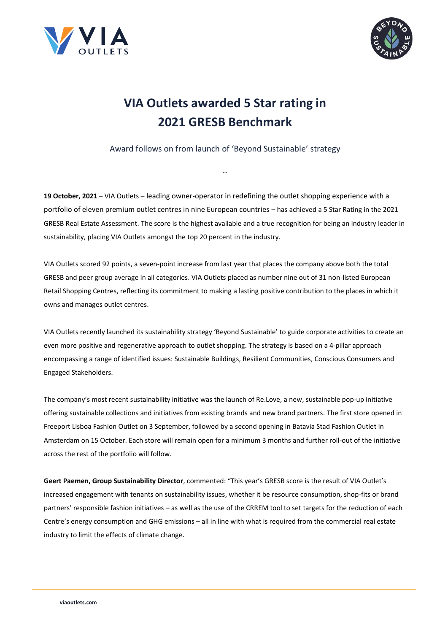



## **VIA Outlets awarded 5 Star rating in 2021 GRESB Benchmark**

Award follows on from launch of 'Beyond Sustainable' strategy

…

**19 October, 2021** – VIA Outlets – leading owner-operator in redefining the outlet shopping experience with a portfolio of eleven premium outlet centres in nine European countries – has achieved a 5 Star Rating in the 2021 GRESB Real Estate Assessment. The score is the highest available and a true recognition for being an industry leader in sustainability, placing VIA Outlets amongst the top 20 percent in the industry.

VIA Outlets scored 92 points, a seven-point increase from last year that places the company above both the total GRESB and peer group average in all categories. VIA Outlets placed as number nine out of 31 non-listed European Retail Shopping Centres, reflecting its commitment to making a lasting positive contribution to the places in which it owns and manages outlet centres.

VIA Outlets recently launched its sustainability strategy 'Beyond Sustainable' to guide corporate activities to create an even more positive and regenerative approach to outlet shopping. The strategy is based on a 4-pillar approach encompassing a range of identified issues: Sustainable Buildings, Resilient Communities, Conscious Consumers and Engaged Stakeholders.

The company's most recent sustainability initiative was the launch of Re.Love, a new, sustainable pop-up initiative offering sustainable collections and initiatives from existing brands and new brand partners. The first store opened in Freeport Lisboa Fashion Outlet on 3 September, followed by a second opening in Batavia Stad Fashion Outlet in Amsterdam on 15 October. Each store will remain open for a minimum 3 months and further roll-out of the initiative across the rest of the portfolio will follow.

**Geert Paemen, Group Sustainability Director**, commented: "This year's GRESB score is the result of VIA Outlet's increased engagement with tenants on sustainability issues, whether it be resource consumption, shop-fits or brand partners' responsible fashion initiatives – as well as the use of the CRREM tool to set targets for the reduction of each Centre's energy consumption and GHG emissions – all in line with what is required from the commercial real estate industry to limit the effects of climate change.